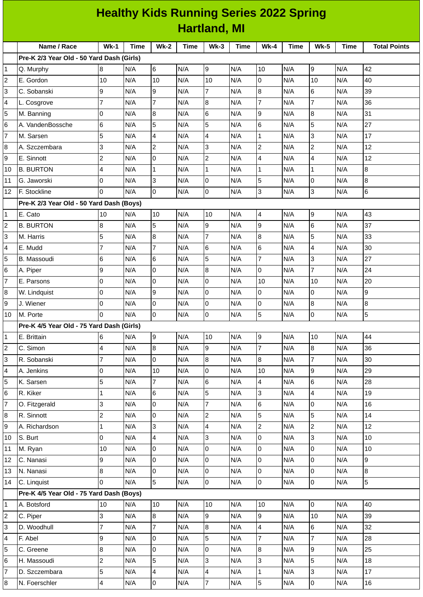| <b>Hartland, MI</b><br>Name / Race<br>$Wk-1$<br><b>Wk-5</b><br><b>Total Points</b><br>Time<br><b>Wk-2</b><br><b>Time</b><br>$Wk-3$<br><b>Time</b><br><b>Wk-4</b><br>Time<br><b>Time</b><br>Pre-K 2/3 Year Old - 50 Yard Dash (Girls)<br>N/A<br>42<br>6<br>N/A<br>9<br>N/A<br>10<br>N/A<br>9<br>1<br>8<br>N/A<br>Q. Murphy<br>$\overline{c}$<br>N/A<br>0<br>N/A<br>N/A<br>40<br>10<br>10<br>N/A<br>10<br>N/A<br>10<br>E. Gordon<br>$\overline{7}$<br>9<br>9<br>8<br>3<br>6<br>39<br>C. Sobanski<br>N/A<br>N/A<br>N/A<br>N/A<br>N/A<br>$\overline{7}$<br>$\overline{7}$<br>7<br>$\overline{7}$<br>4<br>8<br>36<br>N/A<br>N/A<br>N/A<br>N/A<br>N/A<br>L. Cosgrove<br>8<br>9<br>31<br>5<br>0<br>6<br>N/A<br>8<br>N/A<br>N/A<br>N/A<br>N/A<br>M. Banning<br>5<br>5<br>6<br>5<br>27<br>6<br>6<br>N/A<br>N/A<br>N/A<br>N/A<br>A. VandenBossche<br>N/A<br>5<br>7<br>4<br>$\mathbf 1$<br>3<br>17<br>N/A<br>N/A<br>$\overline{4}$<br>N/A<br>N/A<br>N/A<br>M. Sarsen<br>$\overline{c}$<br>$\overline{c}$<br>$\mathbf 2$<br>3<br>3<br>12<br>8<br>N/A<br>N/A<br>A. Szczembara<br>N/A<br>N/A<br>N/A<br>$\overline{c}$<br>$\overline{2}$<br>4<br>12<br>9<br>0<br>N/A<br>$\overline{4}$<br>N/A<br>E. Sinnott<br>N/A<br>N/A<br>N/A<br>8<br>$\overline{4}$<br>$\mathbf 1$<br>$\mathbf 1$<br>N/A<br><b>B. BURTON</b><br>N/A<br>N/A<br>$\mathbf{1}$<br>N/A<br>N/A<br>$\mathbf{1}$<br>10<br>3<br>5<br>8<br>l0<br>Iо<br>N/A<br>0<br>N/A<br>11<br>G. Jaworski<br>N/A<br>N/A<br>N/A<br>3<br>$\,$ 6<br>0<br>3<br>$\overline{0}$<br>Iо<br>N/A<br>N/A<br>12<br>F. Stockline<br>N/A<br>N/A<br>N/A<br>Pre-K 2/3 Year Old - 50 Yard Dash (Boys)<br>$\mathsf g$<br>43<br>10<br>N/A<br>N/A<br>4<br>N/A<br>N/A<br>E. Cato<br>10<br>N/A<br>10<br>1<br>9<br>2<br>$\bf{8}$<br>5<br>9<br>N/A<br>6<br>37<br><b>B. BURTON</b><br>N/A<br>N/A<br>N/A<br>N/A<br>$\overline{7}$<br>5<br>5<br>3<br>8<br>8<br>33<br>N/A<br>N/A<br>N/A<br>N/A<br>N/A<br>M. Harris<br>7<br>30<br>4<br>E. Mudd<br>7<br>6<br>N/A<br>6<br>N/A<br>4<br>N/A<br>N/A<br>N/A<br>5<br>$\overline{7}$<br>5<br>6<br>3<br>27<br><b>B.</b> Massoudi<br>6<br>N/A<br>N/A<br>N/A<br>N/A<br>N/A<br>0<br>8<br>0<br>6<br>9<br>$\overline{7}$<br>24<br>A. Piper<br>N/A<br>N/A<br>N/A<br>N/A<br>N/A<br>7<br>0<br>0<br>Iо<br>10<br>N/A<br>20<br>N/A<br>N/A<br>N/A<br>10<br>N/A<br>E. Parsons<br>9<br>9<br>0<br>0<br>N/A<br>O<br>N/A<br>$\overline{0}$<br>N/A<br>8<br>N/A<br>N/A<br>W. Lindquist<br>9<br>8<br>8<br>0<br>0<br>Iо<br>0<br>N/A<br>N/A<br>J. Wiener<br>N/A<br>N/A<br>N/A<br>5<br>5<br>0<br>10<br>M. Porte<br>0<br>N/A<br>N/A<br>0<br>N/A<br>N/A<br>0<br>N/A<br>Pre-K 4/5 Year Old - 75 Yard Dash (Girls)<br>N/A<br>9<br>N/A<br>10<br>N/A<br>9<br>N/A<br>10<br>N/A<br>44<br>1<br>6<br>E. Brittain<br>$\overline{\mathcal{I}}$<br>8<br>9<br>2<br>C. Simon<br>$\overline{\mathcal{A}}$<br>N/A<br>N/A<br>N/A<br>8<br>N/A<br>36<br>N/A<br>0<br>$\overline{7}$<br>8<br>8<br>$\overline{7}$<br>3<br>30<br>R. Sobanski<br>N/A<br>N/A<br>N/A<br>N/A<br>N/A<br>$\overline{\mathcal{L}}$<br>0<br>l0<br>10<br>N/A<br>9<br>29<br>A. Jenkins<br>N/A<br>10<br>N/A<br>N/A<br>N/A<br>5<br>$\overline{7}$<br>5<br>6<br>4<br>28<br>N/A<br>N/A<br>N/A<br>6<br>N/A<br>K. Sarsen<br>N/A<br>5<br>6<br>3<br>19<br>6<br>$\overline{\mathcal{L}}$<br>R. Kiker<br>N/A<br>N/A<br>N/A<br>$\mathbf{1}$<br>N/A<br>N/A<br>$\overline{7}$<br>$\overline{7}$<br>3<br>0<br>6<br>O. Fitzgerald<br>N/A<br>$\mathsf{O}$<br>16<br>N/A<br>N/A<br>N/A<br>N/A<br>$\overline{2}$<br>5<br>$\overline{c}$<br>0<br>5<br>14<br>8<br>R. Sinnott<br>N/A<br>N/A<br>N/A<br>N/A<br>N/A<br>3<br>$\overline{2}$<br>12<br>9<br>$\mathbf 1$<br>N/A<br>$\overline{4}$<br>N/A<br>$\overline{c}$<br>A. Richardson<br>N/A<br>N/A<br>N/A<br>3<br>0<br>4<br>3<br>0<br>N/A<br>N/A<br>N/A<br>10<br>10<br>S. Burt<br>N/A<br>N/A<br>0<br>l0<br>0<br>$\mathsf 0$<br>10<br>M. Ryan<br>10<br>N/A<br>N/A<br>N/A<br>11<br>N/A<br>N/A<br>9<br>9<br>0<br>l0<br>0<br>$\mathsf 0$<br>12<br>C. Nanasi<br>N/A<br>N/A<br>N/A<br>N/A<br>N/A<br>0<br>0<br>8<br>l0<br>$\bf{8}$<br>N/A<br>$\mathsf 0$<br>13<br>N. Nanasi<br>N/A<br>N/A<br>N/A<br>N/A<br>5<br>5<br>O<br>C. Linquist<br>l0<br>0<br>N/A<br>$\overline{0}$<br>N/A<br>N/A<br>N/A<br>N/A<br>14<br>Pre-K 4/5 Year Old - 75 Yard Dash (Boys)<br>40<br>10<br>N/A<br>10<br>N/A<br>10<br>N/A<br>$\mathsf 0$<br>N/A<br>$\mathbf 1$<br>A. Botsford<br>10<br>N/A<br>3<br>9<br>$\overline{c}$<br>N/A<br>8<br>N/A<br>N/A<br>9<br>N/A<br>10<br>N/A<br>39<br>C. Piper<br>7<br>$\overline{7}$<br>4<br>3<br>8<br>N/A<br>6<br>32<br>D. Woodhull<br>N/A<br>N/A<br>N/A<br>N/A<br>5<br>$\overline{7}$<br>9<br>0<br>$\overline{7}$<br>28<br>4<br>F. Abel<br>N/A<br>N/A<br>N/A<br>N/A<br>N/A<br>5<br>$\, 8$<br>0<br>l0<br>8<br>$\mathsf{N}/\mathsf{A}$<br>9<br>25<br>C. Greene<br>N/A<br>N/A<br>N/A<br>N/A<br>5<br>3<br>$\overline{c}$<br>5<br>6<br>3<br>18<br>N/A<br>N/A<br>N/A<br>N/A<br>N/A<br>H. Massoudi<br>5<br>17<br>7<br>4<br>$\overline{4}$<br>$\mathbf 1$<br>3<br>N/A<br>D. Szczembara<br>N/A<br>N/A<br>N/A<br>N/A<br>5<br>0<br>$\overline{7}$<br>8<br>$\overline{a}$<br>$\mathsf{O}\xspace$<br>16<br>N/A<br>N/A<br>N/A<br>N/A<br>N/A<br>N. Foerschler | <b>Healthy Kids Running Series 2022 Spring</b> |  |  |  |  |  |  |  |  |  |  |  |  |
|--------------------------------------------------------------------------------------------------------------------------------------------------------------------------------------------------------------------------------------------------------------------------------------------------------------------------------------------------------------------------------------------------------------------------------------------------------------------------------------------------------------------------------------------------------------------------------------------------------------------------------------------------------------------------------------------------------------------------------------------------------------------------------------------------------------------------------------------------------------------------------------------------------------------------------------------------------------------------------------------------------------------------------------------------------------------------------------------------------------------------------------------------------------------------------------------------------------------------------------------------------------------------------------------------------------------------------------------------------------------------------------------------------------------------------------------------------------------------------------------------------------------------------------------------------------------------------------------------------------------------------------------------------------------------------------------------------------------------------------------------------------------------------------------------------------------------------------------------------------------------------------------------------------------------------------------------------------------------------------------------------------------------------------------------------------------------------------------------------------------------------------------------------------------------------------------------------------------------------------------------------------------------------------------------------------------------------------------------------------------------------------------------------------------------------------------------------------------------------------------------------------------------------------------------------------------------------------------------------------------------------------------------------------------------------------------------------------------------------------------------------------------------------------------------------------------------------------------------------------------------------------------------------------------------------------------------------------------------------------------------------------------------------------------------------------------------------------------------------------------------------------------------------------------------------------------------------------------------------------------------------------------------------------------------------------------------------------------------------------------------------------------------------------------------------------------------------------------------------------------------------------------------------------------------------------------------------------------------------------------------------------------------------------------------------------------------------------------------------------------------------------------------------------------------------------------------------------------------------------------------------------------------------------------------------------------------------------------------------------------------------------------------------------------------------------------------------------------------------------------------------------------------------------------------------------------------------------------------------------------------------------------------------------------------------------------------------------------------------------------------------------------------------------------------------------------------------------------------------------------------------------------------------------------------------------------------------------------------------------------------------------------------------------------------------------------------------------------------------------------------------------------------------------------------------------------------------------------------------------------------------------------------------------------------------------------------------------------------------------------------------------------------------------------------------------------------------------------------------------------------------------------|------------------------------------------------|--|--|--|--|--|--|--|--|--|--|--|--|
|                                                                                                                                                                                                                                                                                                                                                                                                                                                                                                                                                                                                                                                                                                                                                                                                                                                                                                                                                                                                                                                                                                                                                                                                                                                                                                                                                                                                                                                                                                                                                                                                                                                                                                                                                                                                                                                                                                                                                                                                                                                                                                                                                                                                                                                                                                                                                                                                                                                                                                                                                                                                                                                                                                                                                                                                                                                                                                                                                                                                                                                                                                                                                                                                                                                                                                                                                                                                                                                                                                                                                                                                                                                                                                                                                                                                                                                                                                                                                                                                                                                                                                                                                                                                                                                                                                                                                                                                                                                                                                                                                                                                                                                                                                                                                                                                                                                                                                                                                                                                                                                                                                                                            |                                                |  |  |  |  |  |  |  |  |  |  |  |  |
|                                                                                                                                                                                                                                                                                                                                                                                                                                                                                                                                                                                                                                                                                                                                                                                                                                                                                                                                                                                                                                                                                                                                                                                                                                                                                                                                                                                                                                                                                                                                                                                                                                                                                                                                                                                                                                                                                                                                                                                                                                                                                                                                                                                                                                                                                                                                                                                                                                                                                                                                                                                                                                                                                                                                                                                                                                                                                                                                                                                                                                                                                                                                                                                                                                                                                                                                                                                                                                                                                                                                                                                                                                                                                                                                                                                                                                                                                                                                                                                                                                                                                                                                                                                                                                                                                                                                                                                                                                                                                                                                                                                                                                                                                                                                                                                                                                                                                                                                                                                                                                                                                                                                            |                                                |  |  |  |  |  |  |  |  |  |  |  |  |
|                                                                                                                                                                                                                                                                                                                                                                                                                                                                                                                                                                                                                                                                                                                                                                                                                                                                                                                                                                                                                                                                                                                                                                                                                                                                                                                                                                                                                                                                                                                                                                                                                                                                                                                                                                                                                                                                                                                                                                                                                                                                                                                                                                                                                                                                                                                                                                                                                                                                                                                                                                                                                                                                                                                                                                                                                                                                                                                                                                                                                                                                                                                                                                                                                                                                                                                                                                                                                                                                                                                                                                                                                                                                                                                                                                                                                                                                                                                                                                                                                                                                                                                                                                                                                                                                                                                                                                                                                                                                                                                                                                                                                                                                                                                                                                                                                                                                                                                                                                                                                                                                                                                                            |                                                |  |  |  |  |  |  |  |  |  |  |  |  |
|                                                                                                                                                                                                                                                                                                                                                                                                                                                                                                                                                                                                                                                                                                                                                                                                                                                                                                                                                                                                                                                                                                                                                                                                                                                                                                                                                                                                                                                                                                                                                                                                                                                                                                                                                                                                                                                                                                                                                                                                                                                                                                                                                                                                                                                                                                                                                                                                                                                                                                                                                                                                                                                                                                                                                                                                                                                                                                                                                                                                                                                                                                                                                                                                                                                                                                                                                                                                                                                                                                                                                                                                                                                                                                                                                                                                                                                                                                                                                                                                                                                                                                                                                                                                                                                                                                                                                                                                                                                                                                                                                                                                                                                                                                                                                                                                                                                                                                                                                                                                                                                                                                                                            |                                                |  |  |  |  |  |  |  |  |  |  |  |  |
|                                                                                                                                                                                                                                                                                                                                                                                                                                                                                                                                                                                                                                                                                                                                                                                                                                                                                                                                                                                                                                                                                                                                                                                                                                                                                                                                                                                                                                                                                                                                                                                                                                                                                                                                                                                                                                                                                                                                                                                                                                                                                                                                                                                                                                                                                                                                                                                                                                                                                                                                                                                                                                                                                                                                                                                                                                                                                                                                                                                                                                                                                                                                                                                                                                                                                                                                                                                                                                                                                                                                                                                                                                                                                                                                                                                                                                                                                                                                                                                                                                                                                                                                                                                                                                                                                                                                                                                                                                                                                                                                                                                                                                                                                                                                                                                                                                                                                                                                                                                                                                                                                                                                            |                                                |  |  |  |  |  |  |  |  |  |  |  |  |
|                                                                                                                                                                                                                                                                                                                                                                                                                                                                                                                                                                                                                                                                                                                                                                                                                                                                                                                                                                                                                                                                                                                                                                                                                                                                                                                                                                                                                                                                                                                                                                                                                                                                                                                                                                                                                                                                                                                                                                                                                                                                                                                                                                                                                                                                                                                                                                                                                                                                                                                                                                                                                                                                                                                                                                                                                                                                                                                                                                                                                                                                                                                                                                                                                                                                                                                                                                                                                                                                                                                                                                                                                                                                                                                                                                                                                                                                                                                                                                                                                                                                                                                                                                                                                                                                                                                                                                                                                                                                                                                                                                                                                                                                                                                                                                                                                                                                                                                                                                                                                                                                                                                                            |                                                |  |  |  |  |  |  |  |  |  |  |  |  |
|                                                                                                                                                                                                                                                                                                                                                                                                                                                                                                                                                                                                                                                                                                                                                                                                                                                                                                                                                                                                                                                                                                                                                                                                                                                                                                                                                                                                                                                                                                                                                                                                                                                                                                                                                                                                                                                                                                                                                                                                                                                                                                                                                                                                                                                                                                                                                                                                                                                                                                                                                                                                                                                                                                                                                                                                                                                                                                                                                                                                                                                                                                                                                                                                                                                                                                                                                                                                                                                                                                                                                                                                                                                                                                                                                                                                                                                                                                                                                                                                                                                                                                                                                                                                                                                                                                                                                                                                                                                                                                                                                                                                                                                                                                                                                                                                                                                                                                                                                                                                                                                                                                                                            |                                                |  |  |  |  |  |  |  |  |  |  |  |  |
|                                                                                                                                                                                                                                                                                                                                                                                                                                                                                                                                                                                                                                                                                                                                                                                                                                                                                                                                                                                                                                                                                                                                                                                                                                                                                                                                                                                                                                                                                                                                                                                                                                                                                                                                                                                                                                                                                                                                                                                                                                                                                                                                                                                                                                                                                                                                                                                                                                                                                                                                                                                                                                                                                                                                                                                                                                                                                                                                                                                                                                                                                                                                                                                                                                                                                                                                                                                                                                                                                                                                                                                                                                                                                                                                                                                                                                                                                                                                                                                                                                                                                                                                                                                                                                                                                                                                                                                                                                                                                                                                                                                                                                                                                                                                                                                                                                                                                                                                                                                                                                                                                                                                            |                                                |  |  |  |  |  |  |  |  |  |  |  |  |
|                                                                                                                                                                                                                                                                                                                                                                                                                                                                                                                                                                                                                                                                                                                                                                                                                                                                                                                                                                                                                                                                                                                                                                                                                                                                                                                                                                                                                                                                                                                                                                                                                                                                                                                                                                                                                                                                                                                                                                                                                                                                                                                                                                                                                                                                                                                                                                                                                                                                                                                                                                                                                                                                                                                                                                                                                                                                                                                                                                                                                                                                                                                                                                                                                                                                                                                                                                                                                                                                                                                                                                                                                                                                                                                                                                                                                                                                                                                                                                                                                                                                                                                                                                                                                                                                                                                                                                                                                                                                                                                                                                                                                                                                                                                                                                                                                                                                                                                                                                                                                                                                                                                                            |                                                |  |  |  |  |  |  |  |  |  |  |  |  |
|                                                                                                                                                                                                                                                                                                                                                                                                                                                                                                                                                                                                                                                                                                                                                                                                                                                                                                                                                                                                                                                                                                                                                                                                                                                                                                                                                                                                                                                                                                                                                                                                                                                                                                                                                                                                                                                                                                                                                                                                                                                                                                                                                                                                                                                                                                                                                                                                                                                                                                                                                                                                                                                                                                                                                                                                                                                                                                                                                                                                                                                                                                                                                                                                                                                                                                                                                                                                                                                                                                                                                                                                                                                                                                                                                                                                                                                                                                                                                                                                                                                                                                                                                                                                                                                                                                                                                                                                                                                                                                                                                                                                                                                                                                                                                                                                                                                                                                                                                                                                                                                                                                                                            |                                                |  |  |  |  |  |  |  |  |  |  |  |  |
|                                                                                                                                                                                                                                                                                                                                                                                                                                                                                                                                                                                                                                                                                                                                                                                                                                                                                                                                                                                                                                                                                                                                                                                                                                                                                                                                                                                                                                                                                                                                                                                                                                                                                                                                                                                                                                                                                                                                                                                                                                                                                                                                                                                                                                                                                                                                                                                                                                                                                                                                                                                                                                                                                                                                                                                                                                                                                                                                                                                                                                                                                                                                                                                                                                                                                                                                                                                                                                                                                                                                                                                                                                                                                                                                                                                                                                                                                                                                                                                                                                                                                                                                                                                                                                                                                                                                                                                                                                                                                                                                                                                                                                                                                                                                                                                                                                                                                                                                                                                                                                                                                                                                            |                                                |  |  |  |  |  |  |  |  |  |  |  |  |
|                                                                                                                                                                                                                                                                                                                                                                                                                                                                                                                                                                                                                                                                                                                                                                                                                                                                                                                                                                                                                                                                                                                                                                                                                                                                                                                                                                                                                                                                                                                                                                                                                                                                                                                                                                                                                                                                                                                                                                                                                                                                                                                                                                                                                                                                                                                                                                                                                                                                                                                                                                                                                                                                                                                                                                                                                                                                                                                                                                                                                                                                                                                                                                                                                                                                                                                                                                                                                                                                                                                                                                                                                                                                                                                                                                                                                                                                                                                                                                                                                                                                                                                                                                                                                                                                                                                                                                                                                                                                                                                                                                                                                                                                                                                                                                                                                                                                                                                                                                                                                                                                                                                                            |                                                |  |  |  |  |  |  |  |  |  |  |  |  |
|                                                                                                                                                                                                                                                                                                                                                                                                                                                                                                                                                                                                                                                                                                                                                                                                                                                                                                                                                                                                                                                                                                                                                                                                                                                                                                                                                                                                                                                                                                                                                                                                                                                                                                                                                                                                                                                                                                                                                                                                                                                                                                                                                                                                                                                                                                                                                                                                                                                                                                                                                                                                                                                                                                                                                                                                                                                                                                                                                                                                                                                                                                                                                                                                                                                                                                                                                                                                                                                                                                                                                                                                                                                                                                                                                                                                                                                                                                                                                                                                                                                                                                                                                                                                                                                                                                                                                                                                                                                                                                                                                                                                                                                                                                                                                                                                                                                                                                                                                                                                                                                                                                                                            |                                                |  |  |  |  |  |  |  |  |  |  |  |  |
|                                                                                                                                                                                                                                                                                                                                                                                                                                                                                                                                                                                                                                                                                                                                                                                                                                                                                                                                                                                                                                                                                                                                                                                                                                                                                                                                                                                                                                                                                                                                                                                                                                                                                                                                                                                                                                                                                                                                                                                                                                                                                                                                                                                                                                                                                                                                                                                                                                                                                                                                                                                                                                                                                                                                                                                                                                                                                                                                                                                                                                                                                                                                                                                                                                                                                                                                                                                                                                                                                                                                                                                                                                                                                                                                                                                                                                                                                                                                                                                                                                                                                                                                                                                                                                                                                                                                                                                                                                                                                                                                                                                                                                                                                                                                                                                                                                                                                                                                                                                                                                                                                                                                            |                                                |  |  |  |  |  |  |  |  |  |  |  |  |
|                                                                                                                                                                                                                                                                                                                                                                                                                                                                                                                                                                                                                                                                                                                                                                                                                                                                                                                                                                                                                                                                                                                                                                                                                                                                                                                                                                                                                                                                                                                                                                                                                                                                                                                                                                                                                                                                                                                                                                                                                                                                                                                                                                                                                                                                                                                                                                                                                                                                                                                                                                                                                                                                                                                                                                                                                                                                                                                                                                                                                                                                                                                                                                                                                                                                                                                                                                                                                                                                                                                                                                                                                                                                                                                                                                                                                                                                                                                                                                                                                                                                                                                                                                                                                                                                                                                                                                                                                                                                                                                                                                                                                                                                                                                                                                                                                                                                                                                                                                                                                                                                                                                                            |                                                |  |  |  |  |  |  |  |  |  |  |  |  |
|                                                                                                                                                                                                                                                                                                                                                                                                                                                                                                                                                                                                                                                                                                                                                                                                                                                                                                                                                                                                                                                                                                                                                                                                                                                                                                                                                                                                                                                                                                                                                                                                                                                                                                                                                                                                                                                                                                                                                                                                                                                                                                                                                                                                                                                                                                                                                                                                                                                                                                                                                                                                                                                                                                                                                                                                                                                                                                                                                                                                                                                                                                                                                                                                                                                                                                                                                                                                                                                                                                                                                                                                                                                                                                                                                                                                                                                                                                                                                                                                                                                                                                                                                                                                                                                                                                                                                                                                                                                                                                                                                                                                                                                                                                                                                                                                                                                                                                                                                                                                                                                                                                                                            |                                                |  |  |  |  |  |  |  |  |  |  |  |  |
|                                                                                                                                                                                                                                                                                                                                                                                                                                                                                                                                                                                                                                                                                                                                                                                                                                                                                                                                                                                                                                                                                                                                                                                                                                                                                                                                                                                                                                                                                                                                                                                                                                                                                                                                                                                                                                                                                                                                                                                                                                                                                                                                                                                                                                                                                                                                                                                                                                                                                                                                                                                                                                                                                                                                                                                                                                                                                                                                                                                                                                                                                                                                                                                                                                                                                                                                                                                                                                                                                                                                                                                                                                                                                                                                                                                                                                                                                                                                                                                                                                                                                                                                                                                                                                                                                                                                                                                                                                                                                                                                                                                                                                                                                                                                                                                                                                                                                                                                                                                                                                                                                                                                            |                                                |  |  |  |  |  |  |  |  |  |  |  |  |
|                                                                                                                                                                                                                                                                                                                                                                                                                                                                                                                                                                                                                                                                                                                                                                                                                                                                                                                                                                                                                                                                                                                                                                                                                                                                                                                                                                                                                                                                                                                                                                                                                                                                                                                                                                                                                                                                                                                                                                                                                                                                                                                                                                                                                                                                                                                                                                                                                                                                                                                                                                                                                                                                                                                                                                                                                                                                                                                                                                                                                                                                                                                                                                                                                                                                                                                                                                                                                                                                                                                                                                                                                                                                                                                                                                                                                                                                                                                                                                                                                                                                                                                                                                                                                                                                                                                                                                                                                                                                                                                                                                                                                                                                                                                                                                                                                                                                                                                                                                                                                                                                                                                                            |                                                |  |  |  |  |  |  |  |  |  |  |  |  |
|                                                                                                                                                                                                                                                                                                                                                                                                                                                                                                                                                                                                                                                                                                                                                                                                                                                                                                                                                                                                                                                                                                                                                                                                                                                                                                                                                                                                                                                                                                                                                                                                                                                                                                                                                                                                                                                                                                                                                                                                                                                                                                                                                                                                                                                                                                                                                                                                                                                                                                                                                                                                                                                                                                                                                                                                                                                                                                                                                                                                                                                                                                                                                                                                                                                                                                                                                                                                                                                                                                                                                                                                                                                                                                                                                                                                                                                                                                                                                                                                                                                                                                                                                                                                                                                                                                                                                                                                                                                                                                                                                                                                                                                                                                                                                                                                                                                                                                                                                                                                                                                                                                                                            |                                                |  |  |  |  |  |  |  |  |  |  |  |  |
|                                                                                                                                                                                                                                                                                                                                                                                                                                                                                                                                                                                                                                                                                                                                                                                                                                                                                                                                                                                                                                                                                                                                                                                                                                                                                                                                                                                                                                                                                                                                                                                                                                                                                                                                                                                                                                                                                                                                                                                                                                                                                                                                                                                                                                                                                                                                                                                                                                                                                                                                                                                                                                                                                                                                                                                                                                                                                                                                                                                                                                                                                                                                                                                                                                                                                                                                                                                                                                                                                                                                                                                                                                                                                                                                                                                                                                                                                                                                                                                                                                                                                                                                                                                                                                                                                                                                                                                                                                                                                                                                                                                                                                                                                                                                                                                                                                                                                                                                                                                                                                                                                                                                            |                                                |  |  |  |  |  |  |  |  |  |  |  |  |
|                                                                                                                                                                                                                                                                                                                                                                                                                                                                                                                                                                                                                                                                                                                                                                                                                                                                                                                                                                                                                                                                                                                                                                                                                                                                                                                                                                                                                                                                                                                                                                                                                                                                                                                                                                                                                                                                                                                                                                                                                                                                                                                                                                                                                                                                                                                                                                                                                                                                                                                                                                                                                                                                                                                                                                                                                                                                                                                                                                                                                                                                                                                                                                                                                                                                                                                                                                                                                                                                                                                                                                                                                                                                                                                                                                                                                                                                                                                                                                                                                                                                                                                                                                                                                                                                                                                                                                                                                                                                                                                                                                                                                                                                                                                                                                                                                                                                                                                                                                                                                                                                                                                                            |                                                |  |  |  |  |  |  |  |  |  |  |  |  |
|                                                                                                                                                                                                                                                                                                                                                                                                                                                                                                                                                                                                                                                                                                                                                                                                                                                                                                                                                                                                                                                                                                                                                                                                                                                                                                                                                                                                                                                                                                                                                                                                                                                                                                                                                                                                                                                                                                                                                                                                                                                                                                                                                                                                                                                                                                                                                                                                                                                                                                                                                                                                                                                                                                                                                                                                                                                                                                                                                                                                                                                                                                                                                                                                                                                                                                                                                                                                                                                                                                                                                                                                                                                                                                                                                                                                                                                                                                                                                                                                                                                                                                                                                                                                                                                                                                                                                                                                                                                                                                                                                                                                                                                                                                                                                                                                                                                                                                                                                                                                                                                                                                                                            |                                                |  |  |  |  |  |  |  |  |  |  |  |  |
|                                                                                                                                                                                                                                                                                                                                                                                                                                                                                                                                                                                                                                                                                                                                                                                                                                                                                                                                                                                                                                                                                                                                                                                                                                                                                                                                                                                                                                                                                                                                                                                                                                                                                                                                                                                                                                                                                                                                                                                                                                                                                                                                                                                                                                                                                                                                                                                                                                                                                                                                                                                                                                                                                                                                                                                                                                                                                                                                                                                                                                                                                                                                                                                                                                                                                                                                                                                                                                                                                                                                                                                                                                                                                                                                                                                                                                                                                                                                                                                                                                                                                                                                                                                                                                                                                                                                                                                                                                                                                                                                                                                                                                                                                                                                                                                                                                                                                                                                                                                                                                                                                                                                            |                                                |  |  |  |  |  |  |  |  |  |  |  |  |
|                                                                                                                                                                                                                                                                                                                                                                                                                                                                                                                                                                                                                                                                                                                                                                                                                                                                                                                                                                                                                                                                                                                                                                                                                                                                                                                                                                                                                                                                                                                                                                                                                                                                                                                                                                                                                                                                                                                                                                                                                                                                                                                                                                                                                                                                                                                                                                                                                                                                                                                                                                                                                                                                                                                                                                                                                                                                                                                                                                                                                                                                                                                                                                                                                                                                                                                                                                                                                                                                                                                                                                                                                                                                                                                                                                                                                                                                                                                                                                                                                                                                                                                                                                                                                                                                                                                                                                                                                                                                                                                                                                                                                                                                                                                                                                                                                                                                                                                                                                                                                                                                                                                                            |                                                |  |  |  |  |  |  |  |  |  |  |  |  |
|                                                                                                                                                                                                                                                                                                                                                                                                                                                                                                                                                                                                                                                                                                                                                                                                                                                                                                                                                                                                                                                                                                                                                                                                                                                                                                                                                                                                                                                                                                                                                                                                                                                                                                                                                                                                                                                                                                                                                                                                                                                                                                                                                                                                                                                                                                                                                                                                                                                                                                                                                                                                                                                                                                                                                                                                                                                                                                                                                                                                                                                                                                                                                                                                                                                                                                                                                                                                                                                                                                                                                                                                                                                                                                                                                                                                                                                                                                                                                                                                                                                                                                                                                                                                                                                                                                                                                                                                                                                                                                                                                                                                                                                                                                                                                                                                                                                                                                                                                                                                                                                                                                                                            |                                                |  |  |  |  |  |  |  |  |  |  |  |  |
|                                                                                                                                                                                                                                                                                                                                                                                                                                                                                                                                                                                                                                                                                                                                                                                                                                                                                                                                                                                                                                                                                                                                                                                                                                                                                                                                                                                                                                                                                                                                                                                                                                                                                                                                                                                                                                                                                                                                                                                                                                                                                                                                                                                                                                                                                                                                                                                                                                                                                                                                                                                                                                                                                                                                                                                                                                                                                                                                                                                                                                                                                                                                                                                                                                                                                                                                                                                                                                                                                                                                                                                                                                                                                                                                                                                                                                                                                                                                                                                                                                                                                                                                                                                                                                                                                                                                                                                                                                                                                                                                                                                                                                                                                                                                                                                                                                                                                                                                                                                                                                                                                                                                            |                                                |  |  |  |  |  |  |  |  |  |  |  |  |
|                                                                                                                                                                                                                                                                                                                                                                                                                                                                                                                                                                                                                                                                                                                                                                                                                                                                                                                                                                                                                                                                                                                                                                                                                                                                                                                                                                                                                                                                                                                                                                                                                                                                                                                                                                                                                                                                                                                                                                                                                                                                                                                                                                                                                                                                                                                                                                                                                                                                                                                                                                                                                                                                                                                                                                                                                                                                                                                                                                                                                                                                                                                                                                                                                                                                                                                                                                                                                                                                                                                                                                                                                                                                                                                                                                                                                                                                                                                                                                                                                                                                                                                                                                                                                                                                                                                                                                                                                                                                                                                                                                                                                                                                                                                                                                                                                                                                                                                                                                                                                                                                                                                                            |                                                |  |  |  |  |  |  |  |  |  |  |  |  |
|                                                                                                                                                                                                                                                                                                                                                                                                                                                                                                                                                                                                                                                                                                                                                                                                                                                                                                                                                                                                                                                                                                                                                                                                                                                                                                                                                                                                                                                                                                                                                                                                                                                                                                                                                                                                                                                                                                                                                                                                                                                                                                                                                                                                                                                                                                                                                                                                                                                                                                                                                                                                                                                                                                                                                                                                                                                                                                                                                                                                                                                                                                                                                                                                                                                                                                                                                                                                                                                                                                                                                                                                                                                                                                                                                                                                                                                                                                                                                                                                                                                                                                                                                                                                                                                                                                                                                                                                                                                                                                                                                                                                                                                                                                                                                                                                                                                                                                                                                                                                                                                                                                                                            |                                                |  |  |  |  |  |  |  |  |  |  |  |  |
|                                                                                                                                                                                                                                                                                                                                                                                                                                                                                                                                                                                                                                                                                                                                                                                                                                                                                                                                                                                                                                                                                                                                                                                                                                                                                                                                                                                                                                                                                                                                                                                                                                                                                                                                                                                                                                                                                                                                                                                                                                                                                                                                                                                                                                                                                                                                                                                                                                                                                                                                                                                                                                                                                                                                                                                                                                                                                                                                                                                                                                                                                                                                                                                                                                                                                                                                                                                                                                                                                                                                                                                                                                                                                                                                                                                                                                                                                                                                                                                                                                                                                                                                                                                                                                                                                                                                                                                                                                                                                                                                                                                                                                                                                                                                                                                                                                                                                                                                                                                                                                                                                                                                            |                                                |  |  |  |  |  |  |  |  |  |  |  |  |
|                                                                                                                                                                                                                                                                                                                                                                                                                                                                                                                                                                                                                                                                                                                                                                                                                                                                                                                                                                                                                                                                                                                                                                                                                                                                                                                                                                                                                                                                                                                                                                                                                                                                                                                                                                                                                                                                                                                                                                                                                                                                                                                                                                                                                                                                                                                                                                                                                                                                                                                                                                                                                                                                                                                                                                                                                                                                                                                                                                                                                                                                                                                                                                                                                                                                                                                                                                                                                                                                                                                                                                                                                                                                                                                                                                                                                                                                                                                                                                                                                                                                                                                                                                                                                                                                                                                                                                                                                                                                                                                                                                                                                                                                                                                                                                                                                                                                                                                                                                                                                                                                                                                                            |                                                |  |  |  |  |  |  |  |  |  |  |  |  |
|                                                                                                                                                                                                                                                                                                                                                                                                                                                                                                                                                                                                                                                                                                                                                                                                                                                                                                                                                                                                                                                                                                                                                                                                                                                                                                                                                                                                                                                                                                                                                                                                                                                                                                                                                                                                                                                                                                                                                                                                                                                                                                                                                                                                                                                                                                                                                                                                                                                                                                                                                                                                                                                                                                                                                                                                                                                                                                                                                                                                                                                                                                                                                                                                                                                                                                                                                                                                                                                                                                                                                                                                                                                                                                                                                                                                                                                                                                                                                                                                                                                                                                                                                                                                                                                                                                                                                                                                                                                                                                                                                                                                                                                                                                                                                                                                                                                                                                                                                                                                                                                                                                                                            |                                                |  |  |  |  |  |  |  |  |  |  |  |  |
|                                                                                                                                                                                                                                                                                                                                                                                                                                                                                                                                                                                                                                                                                                                                                                                                                                                                                                                                                                                                                                                                                                                                                                                                                                                                                                                                                                                                                                                                                                                                                                                                                                                                                                                                                                                                                                                                                                                                                                                                                                                                                                                                                                                                                                                                                                                                                                                                                                                                                                                                                                                                                                                                                                                                                                                                                                                                                                                                                                                                                                                                                                                                                                                                                                                                                                                                                                                                                                                                                                                                                                                                                                                                                                                                                                                                                                                                                                                                                                                                                                                                                                                                                                                                                                                                                                                                                                                                                                                                                                                                                                                                                                                                                                                                                                                                                                                                                                                                                                                                                                                                                                                                            |                                                |  |  |  |  |  |  |  |  |  |  |  |  |
|                                                                                                                                                                                                                                                                                                                                                                                                                                                                                                                                                                                                                                                                                                                                                                                                                                                                                                                                                                                                                                                                                                                                                                                                                                                                                                                                                                                                                                                                                                                                                                                                                                                                                                                                                                                                                                                                                                                                                                                                                                                                                                                                                                                                                                                                                                                                                                                                                                                                                                                                                                                                                                                                                                                                                                                                                                                                                                                                                                                                                                                                                                                                                                                                                                                                                                                                                                                                                                                                                                                                                                                                                                                                                                                                                                                                                                                                                                                                                                                                                                                                                                                                                                                                                                                                                                                                                                                                                                                                                                                                                                                                                                                                                                                                                                                                                                                                                                                                                                                                                                                                                                                                            |                                                |  |  |  |  |  |  |  |  |  |  |  |  |
|                                                                                                                                                                                                                                                                                                                                                                                                                                                                                                                                                                                                                                                                                                                                                                                                                                                                                                                                                                                                                                                                                                                                                                                                                                                                                                                                                                                                                                                                                                                                                                                                                                                                                                                                                                                                                                                                                                                                                                                                                                                                                                                                                                                                                                                                                                                                                                                                                                                                                                                                                                                                                                                                                                                                                                                                                                                                                                                                                                                                                                                                                                                                                                                                                                                                                                                                                                                                                                                                                                                                                                                                                                                                                                                                                                                                                                                                                                                                                                                                                                                                                                                                                                                                                                                                                                                                                                                                                                                                                                                                                                                                                                                                                                                                                                                                                                                                                                                                                                                                                                                                                                                                            |                                                |  |  |  |  |  |  |  |  |  |  |  |  |
|                                                                                                                                                                                                                                                                                                                                                                                                                                                                                                                                                                                                                                                                                                                                                                                                                                                                                                                                                                                                                                                                                                                                                                                                                                                                                                                                                                                                                                                                                                                                                                                                                                                                                                                                                                                                                                                                                                                                                                                                                                                                                                                                                                                                                                                                                                                                                                                                                                                                                                                                                                                                                                                                                                                                                                                                                                                                                                                                                                                                                                                                                                                                                                                                                                                                                                                                                                                                                                                                                                                                                                                                                                                                                                                                                                                                                                                                                                                                                                                                                                                                                                                                                                                                                                                                                                                                                                                                                                                                                                                                                                                                                                                                                                                                                                                                                                                                                                                                                                                                                                                                                                                                            |                                                |  |  |  |  |  |  |  |  |  |  |  |  |
|                                                                                                                                                                                                                                                                                                                                                                                                                                                                                                                                                                                                                                                                                                                                                                                                                                                                                                                                                                                                                                                                                                                                                                                                                                                                                                                                                                                                                                                                                                                                                                                                                                                                                                                                                                                                                                                                                                                                                                                                                                                                                                                                                                                                                                                                                                                                                                                                                                                                                                                                                                                                                                                                                                                                                                                                                                                                                                                                                                                                                                                                                                                                                                                                                                                                                                                                                                                                                                                                                                                                                                                                                                                                                                                                                                                                                                                                                                                                                                                                                                                                                                                                                                                                                                                                                                                                                                                                                                                                                                                                                                                                                                                                                                                                                                                                                                                                                                                                                                                                                                                                                                                                            |                                                |  |  |  |  |  |  |  |  |  |  |  |  |
|                                                                                                                                                                                                                                                                                                                                                                                                                                                                                                                                                                                                                                                                                                                                                                                                                                                                                                                                                                                                                                                                                                                                                                                                                                                                                                                                                                                                                                                                                                                                                                                                                                                                                                                                                                                                                                                                                                                                                                                                                                                                                                                                                                                                                                                                                                                                                                                                                                                                                                                                                                                                                                                                                                                                                                                                                                                                                                                                                                                                                                                                                                                                                                                                                                                                                                                                                                                                                                                                                                                                                                                                                                                                                                                                                                                                                                                                                                                                                                                                                                                                                                                                                                                                                                                                                                                                                                                                                                                                                                                                                                                                                                                                                                                                                                                                                                                                                                                                                                                                                                                                                                                                            |                                                |  |  |  |  |  |  |  |  |  |  |  |  |
|                                                                                                                                                                                                                                                                                                                                                                                                                                                                                                                                                                                                                                                                                                                                                                                                                                                                                                                                                                                                                                                                                                                                                                                                                                                                                                                                                                                                                                                                                                                                                                                                                                                                                                                                                                                                                                                                                                                                                                                                                                                                                                                                                                                                                                                                                                                                                                                                                                                                                                                                                                                                                                                                                                                                                                                                                                                                                                                                                                                                                                                                                                                                                                                                                                                                                                                                                                                                                                                                                                                                                                                                                                                                                                                                                                                                                                                                                                                                                                                                                                                                                                                                                                                                                                                                                                                                                                                                                                                                                                                                                                                                                                                                                                                                                                                                                                                                                                                                                                                                                                                                                                                                            |                                                |  |  |  |  |  |  |  |  |  |  |  |  |
|                                                                                                                                                                                                                                                                                                                                                                                                                                                                                                                                                                                                                                                                                                                                                                                                                                                                                                                                                                                                                                                                                                                                                                                                                                                                                                                                                                                                                                                                                                                                                                                                                                                                                                                                                                                                                                                                                                                                                                                                                                                                                                                                                                                                                                                                                                                                                                                                                                                                                                                                                                                                                                                                                                                                                                                                                                                                                                                                                                                                                                                                                                                                                                                                                                                                                                                                                                                                                                                                                                                                                                                                                                                                                                                                                                                                                                                                                                                                                                                                                                                                                                                                                                                                                                                                                                                                                                                                                                                                                                                                                                                                                                                                                                                                                                                                                                                                                                                                                                                                                                                                                                                                            |                                                |  |  |  |  |  |  |  |  |  |  |  |  |
|                                                                                                                                                                                                                                                                                                                                                                                                                                                                                                                                                                                                                                                                                                                                                                                                                                                                                                                                                                                                                                                                                                                                                                                                                                                                                                                                                                                                                                                                                                                                                                                                                                                                                                                                                                                                                                                                                                                                                                                                                                                                                                                                                                                                                                                                                                                                                                                                                                                                                                                                                                                                                                                                                                                                                                                                                                                                                                                                                                                                                                                                                                                                                                                                                                                                                                                                                                                                                                                                                                                                                                                                                                                                                                                                                                                                                                                                                                                                                                                                                                                                                                                                                                                                                                                                                                                                                                                                                                                                                                                                                                                                                                                                                                                                                                                                                                                                                                                                                                                                                                                                                                                                            |                                                |  |  |  |  |  |  |  |  |  |  |  |  |
|                                                                                                                                                                                                                                                                                                                                                                                                                                                                                                                                                                                                                                                                                                                                                                                                                                                                                                                                                                                                                                                                                                                                                                                                                                                                                                                                                                                                                                                                                                                                                                                                                                                                                                                                                                                                                                                                                                                                                                                                                                                                                                                                                                                                                                                                                                                                                                                                                                                                                                                                                                                                                                                                                                                                                                                                                                                                                                                                                                                                                                                                                                                                                                                                                                                                                                                                                                                                                                                                                                                                                                                                                                                                                                                                                                                                                                                                                                                                                                                                                                                                                                                                                                                                                                                                                                                                                                                                                                                                                                                                                                                                                                                                                                                                                                                                                                                                                                                                                                                                                                                                                                                                            |                                                |  |  |  |  |  |  |  |  |  |  |  |  |
|                                                                                                                                                                                                                                                                                                                                                                                                                                                                                                                                                                                                                                                                                                                                                                                                                                                                                                                                                                                                                                                                                                                                                                                                                                                                                                                                                                                                                                                                                                                                                                                                                                                                                                                                                                                                                                                                                                                                                                                                                                                                                                                                                                                                                                                                                                                                                                                                                                                                                                                                                                                                                                                                                                                                                                                                                                                                                                                                                                                                                                                                                                                                                                                                                                                                                                                                                                                                                                                                                                                                                                                                                                                                                                                                                                                                                                                                                                                                                                                                                                                                                                                                                                                                                                                                                                                                                                                                                                                                                                                                                                                                                                                                                                                                                                                                                                                                                                                                                                                                                                                                                                                                            |                                                |  |  |  |  |  |  |  |  |  |  |  |  |
|                                                                                                                                                                                                                                                                                                                                                                                                                                                                                                                                                                                                                                                                                                                                                                                                                                                                                                                                                                                                                                                                                                                                                                                                                                                                                                                                                                                                                                                                                                                                                                                                                                                                                                                                                                                                                                                                                                                                                                                                                                                                                                                                                                                                                                                                                                                                                                                                                                                                                                                                                                                                                                                                                                                                                                                                                                                                                                                                                                                                                                                                                                                                                                                                                                                                                                                                                                                                                                                                                                                                                                                                                                                                                                                                                                                                                                                                                                                                                                                                                                                                                                                                                                                                                                                                                                                                                                                                                                                                                                                                                                                                                                                                                                                                                                                                                                                                                                                                                                                                                                                                                                                                            |                                                |  |  |  |  |  |  |  |  |  |  |  |  |
|                                                                                                                                                                                                                                                                                                                                                                                                                                                                                                                                                                                                                                                                                                                                                                                                                                                                                                                                                                                                                                                                                                                                                                                                                                                                                                                                                                                                                                                                                                                                                                                                                                                                                                                                                                                                                                                                                                                                                                                                                                                                                                                                                                                                                                                                                                                                                                                                                                                                                                                                                                                                                                                                                                                                                                                                                                                                                                                                                                                                                                                                                                                                                                                                                                                                                                                                                                                                                                                                                                                                                                                                                                                                                                                                                                                                                                                                                                                                                                                                                                                                                                                                                                                                                                                                                                                                                                                                                                                                                                                                                                                                                                                                                                                                                                                                                                                                                                                                                                                                                                                                                                                                            |                                                |  |  |  |  |  |  |  |  |  |  |  |  |
|                                                                                                                                                                                                                                                                                                                                                                                                                                                                                                                                                                                                                                                                                                                                                                                                                                                                                                                                                                                                                                                                                                                                                                                                                                                                                                                                                                                                                                                                                                                                                                                                                                                                                                                                                                                                                                                                                                                                                                                                                                                                                                                                                                                                                                                                                                                                                                                                                                                                                                                                                                                                                                                                                                                                                                                                                                                                                                                                                                                                                                                                                                                                                                                                                                                                                                                                                                                                                                                                                                                                                                                                                                                                                                                                                                                                                                                                                                                                                                                                                                                                                                                                                                                                                                                                                                                                                                                                                                                                                                                                                                                                                                                                                                                                                                                                                                                                                                                                                                                                                                                                                                                                            |                                                |  |  |  |  |  |  |  |  |  |  |  |  |
|                                                                                                                                                                                                                                                                                                                                                                                                                                                                                                                                                                                                                                                                                                                                                                                                                                                                                                                                                                                                                                                                                                                                                                                                                                                                                                                                                                                                                                                                                                                                                                                                                                                                                                                                                                                                                                                                                                                                                                                                                                                                                                                                                                                                                                                                                                                                                                                                                                                                                                                                                                                                                                                                                                                                                                                                                                                                                                                                                                                                                                                                                                                                                                                                                                                                                                                                                                                                                                                                                                                                                                                                                                                                                                                                                                                                                                                                                                                                                                                                                                                                                                                                                                                                                                                                                                                                                                                                                                                                                                                                                                                                                                                                                                                                                                                                                                                                                                                                                                                                                                                                                                                                            |                                                |  |  |  |  |  |  |  |  |  |  |  |  |
|                                                                                                                                                                                                                                                                                                                                                                                                                                                                                                                                                                                                                                                                                                                                                                                                                                                                                                                                                                                                                                                                                                                                                                                                                                                                                                                                                                                                                                                                                                                                                                                                                                                                                                                                                                                                                                                                                                                                                                                                                                                                                                                                                                                                                                                                                                                                                                                                                                                                                                                                                                                                                                                                                                                                                                                                                                                                                                                                                                                                                                                                                                                                                                                                                                                                                                                                                                                                                                                                                                                                                                                                                                                                                                                                                                                                                                                                                                                                                                                                                                                                                                                                                                                                                                                                                                                                                                                                                                                                                                                                                                                                                                                                                                                                                                                                                                                                                                                                                                                                                                                                                                                                            |                                                |  |  |  |  |  |  |  |  |  |  |  |  |
|                                                                                                                                                                                                                                                                                                                                                                                                                                                                                                                                                                                                                                                                                                                                                                                                                                                                                                                                                                                                                                                                                                                                                                                                                                                                                                                                                                                                                                                                                                                                                                                                                                                                                                                                                                                                                                                                                                                                                                                                                                                                                                                                                                                                                                                                                                                                                                                                                                                                                                                                                                                                                                                                                                                                                                                                                                                                                                                                                                                                                                                                                                                                                                                                                                                                                                                                                                                                                                                                                                                                                                                                                                                                                                                                                                                                                                                                                                                                                                                                                                                                                                                                                                                                                                                                                                                                                                                                                                                                                                                                                                                                                                                                                                                                                                                                                                                                                                                                                                                                                                                                                                                                            |                                                |  |  |  |  |  |  |  |  |  |  |  |  |
|                                                                                                                                                                                                                                                                                                                                                                                                                                                                                                                                                                                                                                                                                                                                                                                                                                                                                                                                                                                                                                                                                                                                                                                                                                                                                                                                                                                                                                                                                                                                                                                                                                                                                                                                                                                                                                                                                                                                                                                                                                                                                                                                                                                                                                                                                                                                                                                                                                                                                                                                                                                                                                                                                                                                                                                                                                                                                                                                                                                                                                                                                                                                                                                                                                                                                                                                                                                                                                                                                                                                                                                                                                                                                                                                                                                                                                                                                                                                                                                                                                                                                                                                                                                                                                                                                                                                                                                                                                                                                                                                                                                                                                                                                                                                                                                                                                                                                                                                                                                                                                                                                                                                            |                                                |  |  |  |  |  |  |  |  |  |  |  |  |
|                                                                                                                                                                                                                                                                                                                                                                                                                                                                                                                                                                                                                                                                                                                                                                                                                                                                                                                                                                                                                                                                                                                                                                                                                                                                                                                                                                                                                                                                                                                                                                                                                                                                                                                                                                                                                                                                                                                                                                                                                                                                                                                                                                                                                                                                                                                                                                                                                                                                                                                                                                                                                                                                                                                                                                                                                                                                                                                                                                                                                                                                                                                                                                                                                                                                                                                                                                                                                                                                                                                                                                                                                                                                                                                                                                                                                                                                                                                                                                                                                                                                                                                                                                                                                                                                                                                                                                                                                                                                                                                                                                                                                                                                                                                                                                                                                                                                                                                                                                                                                                                                                                                                            |                                                |  |  |  |  |  |  |  |  |  |  |  |  |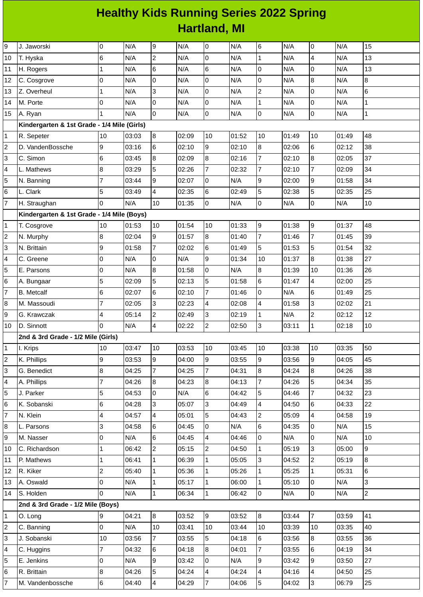## **Healthy Kids Running Series 2022 Spring Hartland, MI**

| 9              | J. Jaworski                                 | $\mathbf 0$     | N/A   | 9              | N/A   | 0              | N/A   | 6                | N/A   | $\pmb{0}$      | N/A   | 15             |
|----------------|---------------------------------------------|-----------------|-------|----------------|-------|----------------|-------|------------------|-------|----------------|-------|----------------|
| 10             | T. Hyska                                    | $6\phantom{.}6$ | N/A   | $\overline{c}$ | N/A   | 0              | N/A   | $\mathbf 1$      | N/A   | 4              | N/A   | 13             |
| 11             | H. Rogers                                   | $\mathbf{1}$    | N/A   | $\,6$          | N/A   | 6              | N/A   | 0                | N/A   | 0              | N/A   | 13             |
| 12             | C. Cosgrove                                 | $\overline{0}$  | N/A   | 0              | N/A   | $\mathbf 0$    | N/A   | $\mathsf 0$      | N/A   | 8              | N/A   | 8              |
| 13             | Z. Overheul                                 | $\mathbf 1$     | N/A   | 3              | N/A   | 0              | N/A   | $\overline{c}$   | N/A   | 0              | N/A   | 6              |
| 14             | M. Porte                                    | 0               | N/A   | 0              | N/A   | $\mathbf 0$    | N/A   | $\mathbf 1$      | N/A   | $\overline{0}$ | N/A   | $\mathbf{1}$   |
| 15             | A. Ryan                                     | $\mathbf{1}$    | N/A   | 0              | N/A   | O              | N/A   | 0                | N/A   | $\overline{0}$ | N/A   | $\mathbf 1$    |
|                | Kindergarten & 1st Grade - 1/4 Mile (Girls) |                 |       |                |       |                |       |                  |       |                |       |                |
| 1              | R. Sepeter                                  | 10              | 03:03 | 8              | 02:09 | 10             | 01:52 | 10               | 01:49 | 10             | 01:49 | 48             |
| $\overline{c}$ | D. VandenBossche                            | 9               | 03:16 | 6              | 02:10 | 9              | 02:10 | 8                | 02:06 | $\,6$          | 02:12 | 38             |
| 3              | C. Simon                                    | $6\phantom{1}6$ | 03:45 | 8              | 02:09 | 8              | 02:16 | $\overline{7}$   | 02:10 | 8              | 02:05 | 37             |
| 4              | L. Mathews                                  | $\bf{8}$        | 03:29 | 5              | 02:26 | $\overline{7}$ | 02:32 | $\overline{7}$   | 02:10 | $\overline{7}$ | 02:09 | 34             |
| 5              | N. Banning                                  | 7               | 03:44 | 9              | 02:07 | 0              | N/A   | 9                | 02:00 | 9              | 01:58 | 34             |
| 6              | L. Clark                                    | 5               | 03:49 | 4              | 02:35 | 6              | 02:49 | 5                | 02:38 | 5              | 02:35 | 25             |
| 7              | H. Straughan                                | $\overline{0}$  | N/A   | 10             | 01:35 | O              | N/A   | 0                | N/A   | $\mathsf 0$    | N/A   | 10             |
|                | Kindergarten & 1st Grade - 1/4 Mile (Boys)  |                 |       |                |       |                |       |                  |       |                |       |                |
| 1              | T. Cosgrove                                 | 10              | 01:53 | 10             | 01:54 | 10             | 01:33 | $\boldsymbol{9}$ | 01:38 | $\mathsf g$    | 01:37 | 48             |
| 2              | N. Murphy                                   | 8               | 02:04 | 9              | 01:57 | $\overline{8}$ | 01:40 | $\overline{7}$   | 01:46 | $\overline{7}$ | 01:45 | 39             |
| 3              | N. Brittain                                 | 9               | 01:58 | 7              | 02:02 | 6              | 01:49 | 5                | 01:53 | 5              | 01:54 | 32             |
| 4              | C. Greene                                   | $\overline{0}$  | N/A   | 0              | N/A   | 9              | 01:34 | 10               | 01:37 | 8              | 01:38 | 27             |
| 5              | E. Parsons                                  | 0               | N/A   | 8              | 01:58 | 0              | N/A   | 8                | 01:39 | 10             | 01:36 | 26             |
| 6              | A. Bungaar                                  | 5               | 02:09 | 5              | 02:13 | 5              | 01:58 | $\,6$            | 01:47 | 4              | 02:00 | 25             |
| 7              | <b>B.</b> Metcalf                           | 6               | 02:07 | 6              | 02:10 | $\overline{7}$ | 01:46 | 0                | N/A   | 6              | 01:49 | 25             |
| 8              | M. Massoudi                                 | 7               | 02:05 | 3              | 02:23 | 4              | 02:08 | 4                | 01:58 | 3              | 02:02 | 21             |
| 9              | G. Krawczak                                 | 4               | 05:14 | $\overline{c}$ | 02:49 | 3              | 02:19 | $\mathbf{1}$     | N/A   | $\overline{c}$ | 02:12 | 12             |
| 10             | D. Sinnott                                  | l0              | N/A   | 4              | 02:22 | $\overline{c}$ | 02:50 | 3                | 03:11 | $\mathbf 1$    | 02:18 | 10             |
|                | 2nd & 3rd Grade - 1/2 Mile (Girls)          |                 |       |                |       |                |       |                  |       |                |       |                |
| 1              | I. Krips                                    | 10              | 03:47 | 10             | 03:53 | 10             | 03:45 | 10               | 03:38 | 10             | 03:35 | 50             |
| $\overline{c}$ | K. Phillips                                 | 9               | 03:53 | 9              | 04:00 | 9              | 03:55 | 9                | 03:56 | 9              | 04:05 | 45             |
| 3              | G. Benedict                                 | 8               | 04:25 | 7              | 04:25 | $\overline{7}$ | 04:31 | $\bf{8}$         | 04:24 | $\, 8$         | 04:26 | 38             |
| 4              | A. Phillips                                 | $\overline{7}$  | 04:26 | 8              | 04:23 | $\overline{8}$ | 04:13 | $\overline{7}$   | 04:26 | 5              | 04:34 | 35             |
| 5              | J. Parker                                   | 5               | 04:53 | 0              | N/A   | 6              | 04:42 | 5                | 04:46 | $\overline{7}$ | 04:32 | 23             |
| 6              | K. Sobanski                                 | 6               | 04:28 | 3              | 05:07 | 3              | 04:49 | 4                | 04:50 | 6              | 04:33 | 22             |
| 7              | N. Klein                                    | 4               | 04:57 | 4              | 05:01 | 5              | 04:43 | $\overline{c}$   | 05:09 | 4              | 04:58 | 19             |
| 8              | L. Parsons                                  | 3               | 04:58 | 6              | 04:45 | 0              | N/A   | 6                | 04:35 | 0              | N/A   | 15             |
| 9              | M. Nasser                                   | $\mathsf 0$     | N/A   | 6              | 04:45 | $\overline{4}$ | 04:46 | 0                | N/A   | $\mathsf 0$    | N/A   | 10             |
| 10             | C. Richardson                               | $\mathbf 1$     | 06:42 | $\overline{2}$ | 05:15 | $\overline{c}$ | 04:50 | $\mathbf{1}$     | 05:19 | 3              | 05:00 | 9              |
| 11             | P. Mathews                                  | $\mathbf 1$     | 06:41 | $\mathbf{1}$   | 06:39 | $\mathbf 1$    | 05:05 | 3                | 04:52 | $\overline{c}$ | 05:19 | 8              |
| 12             | R. Kiker                                    | $\overline{c}$  | 05:40 | $\mathbf{1}$   | 05:36 | $\mathbf 1$    | 05:26 | $\mathbf{1}$     | 05:25 | $\mathbf 1$    | 05:31 | 6              |
| 13             | A. Oswald                                   | 0               | N/A   | $\mathbf{1}$   | 05:17 | $\mathbf{1}$   | 06:00 | $\mathbf{1}$     | 05:10 | 0              | N/A   | 3              |
| 14             | S. Holden                                   | 0               | N/A   | $\mathbf{1}$   | 06:34 | $\mathbf{1}$   | 06:42 | $\mathsf{O}$     | N/A   | 0              | N/A   | $\overline{2}$ |
|                | 2nd & 3rd Grade - 1/2 Mile (Boys)           |                 |       |                |       |                |       |                  |       |                |       |                |
| 1              | O. Long                                     | 9               | 04:21 | 8              | 03:52 | 9              | 03:52 | 8                | 03:44 | $\overline{7}$ | 03:59 | 41             |
| 2              | C. Banning                                  | $\mathsf 0$     | N/A   | 10             | 03:41 | 10             | 03:44 | 10               | 03:39 | 10             | 03:35 | 40             |
| 3              | J. Sobanski                                 | 10              | 03:56 | $\overline{7}$ | 03:55 | 5              | 04:18 | 6                | 03:56 | $8\,$          | 03:55 | 36             |
| 4              | C. Huggins                                  | $\overline{7}$  | 04:32 | 6              | 04:18 | 8              | 04:01 | $\overline{7}$   | 03:55 | 6              | 04:19 | 34             |
| 5              | E. Jenkins                                  | $\mathsf 0$     | N/A   | 9              | 03:42 | l0             | N/A   | 9                | 03:42 | 9              | 03:50 | 27             |
| 6              | R. Brittain                                 | 8               | 04:26 | 5              | 04:24 | 4              | 04:24 | 4                | 04:16 | 4              | 04:50 | 25             |
| $\overline{7}$ | M. Vandenbossche                            | $\,6$           | 04:40 | 4              | 04:29 | $\overline{7}$ | 04:06 | 5                | 04:02 | $\overline{3}$ | 06:79 | 25             |
|                |                                             |                 |       |                |       |                |       |                  |       |                |       |                |